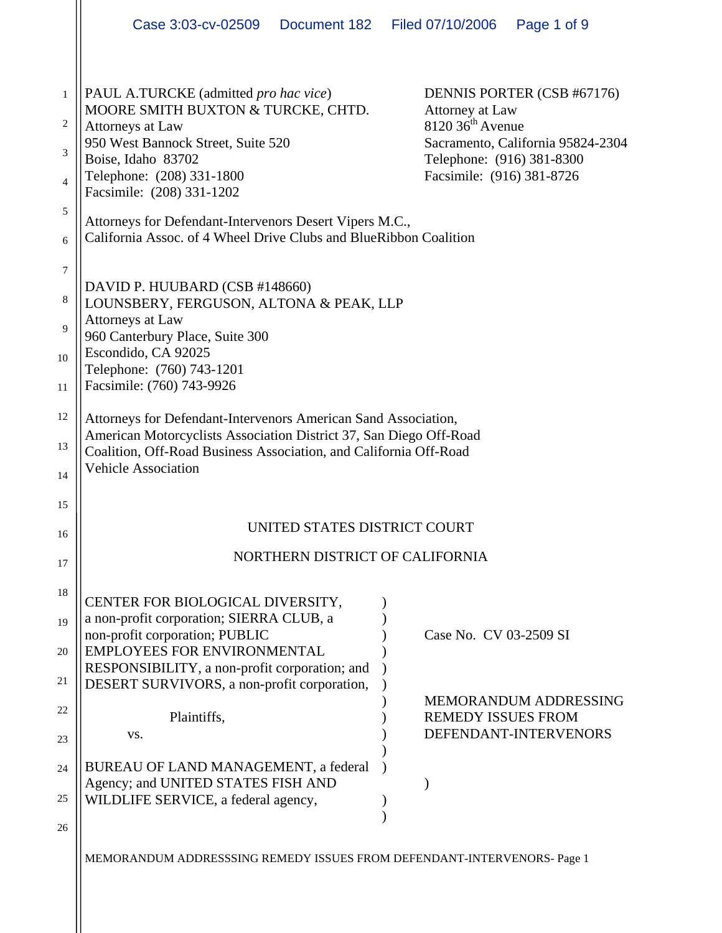|                                               | Case 3:03-cv-02509                                                                                                                                                                                                                      |  | Document 182 Filed 07/10/2006                                                                               | Page 1 of 9                                                     |  |
|-----------------------------------------------|-----------------------------------------------------------------------------------------------------------------------------------------------------------------------------------------------------------------------------------------|--|-------------------------------------------------------------------------------------------------------------|-----------------------------------------------------------------|--|
| $\mathbf{1}$<br>2<br>3<br>$\overline{4}$<br>5 | PAUL A.TURCKE (admitted pro hac vice)<br>MOORE SMITH BUXTON & TURCKE, CHTD.<br>Attorneys at Law<br>950 West Bannock Street, Suite 520<br>Boise, Idaho 83702<br>Telephone: (208) 331-1800<br>Facsimile: (208) 331-1202                   |  | Attorney at Law<br>$8120$ 36 <sup>th</sup> Avenue<br>Telephone: (916) 381-8300<br>Facsimile: (916) 381-8726 | DENNIS PORTER (CSB #67176)<br>Sacramento, California 95824-2304 |  |
| 6                                             | Attorneys for Defendant-Intervenors Desert Vipers M.C.,<br>California Assoc. of 4 Wheel Drive Clubs and BlueRibbon Coalition                                                                                                            |  |                                                                                                             |                                                                 |  |
| 7<br>8<br>9<br>10<br>11                       | DAVID P. HUUBARD (CSB #148660)<br>LOUNSBERY, FERGUSON, ALTONA & PEAK, LLP<br>Attorneys at Law<br>960 Canterbury Place, Suite 300<br>Escondido, CA 92025<br>Telephone: (760) 743-1201<br>Facsimile: (760) 743-9926                       |  |                                                                                                             |                                                                 |  |
| 12<br>13<br>14                                | Attorneys for Defendant-Intervenors American Sand Association,<br>American Motorcyclists Association District 37, San Diego Off-Road<br>Coalition, Off-Road Business Association, and California Off-Road<br><b>Vehicle Association</b> |  |                                                                                                             |                                                                 |  |
| 15<br>16                                      | UNITED STATES DISTRICT COURT                                                                                                                                                                                                            |  |                                                                                                             |                                                                 |  |
| 17                                            | NORTHERN DISTRICT OF CALIFORNIA                                                                                                                                                                                                         |  |                                                                                                             |                                                                 |  |
| 18<br>19<br>20                                | CENTER FOR BIOLOGICAL DIVERSITY,<br>a non-profit corporation; SIERRA CLUB, a<br>non-profit corporation; PUBLIC<br><b>EMPLOYEES FOR ENVIRONMENTAL</b><br>RESPONSIBILITY, a non-profit corporation; and                                   |  | Case No. CV 03-2509 SI                                                                                      |                                                                 |  |
| 21                                            | DESERT SURVIVORS, a non-profit corporation,                                                                                                                                                                                             |  |                                                                                                             | MEMORANDUM ADDRESSING                                           |  |
| 22<br>23                                      | Plaintiffs,<br>VS.                                                                                                                                                                                                                      |  | <b>REMEDY ISSUES FROM</b>                                                                                   | DEFENDANT-INTERVENORS                                           |  |
| 24<br>25<br>26                                | BUREAU OF LAND MANAGEMENT, a federal<br>Agency; and UNITED STATES FISH AND<br>WILDLIFE SERVICE, a federal agency,                                                                                                                       |  |                                                                                                             |                                                                 |  |
|                                               | MEMORANDUM ADDRESSSING REMEDY ISSUES FROM DEFENDANT-INTERVENORS- Page 1                                                                                                                                                                 |  |                                                                                                             |                                                                 |  |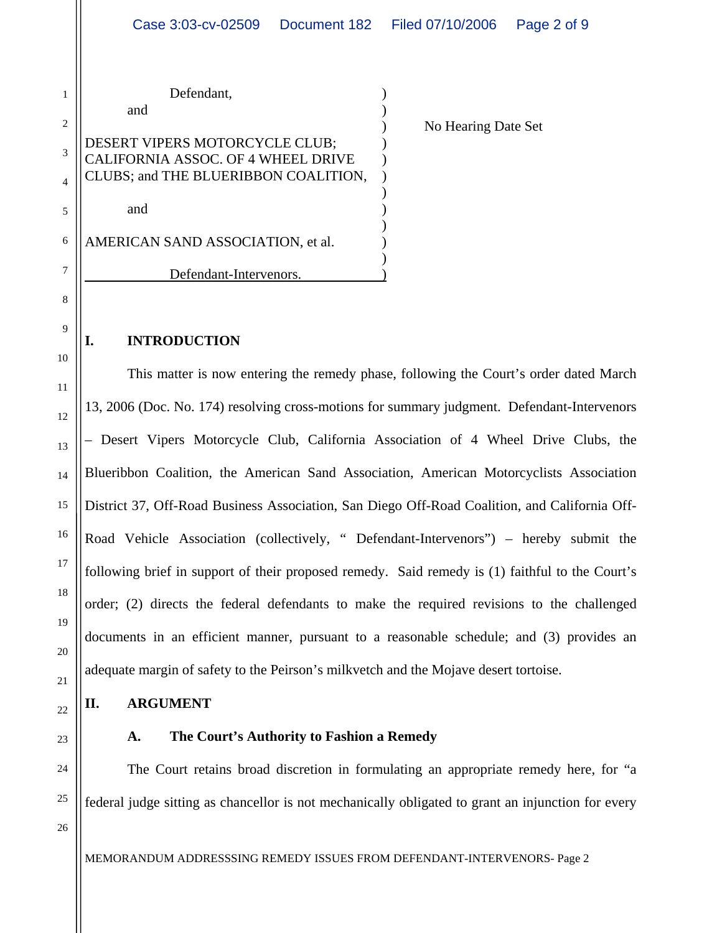|                | Defendant,                                                           |                     |
|----------------|----------------------------------------------------------------------|---------------------|
| $\overline{2}$ | and                                                                  | No Hearing Date Set |
| 3              | DESERT VIPERS MOTORCYCLE CLUB;<br>CALIFORNIA ASSOC. OF 4 WHEEL DRIVE |                     |
| 4              | CLUBS; and THE BLUERIBBON COALITION,                                 |                     |
| 5              | and                                                                  |                     |
| 6              | AMERICAN SAND ASSOCIATION, et al.                                    |                     |
| 7              | Defendant-Intervenors.                                               |                     |

#### **I. INTRODUCTION**

This matter is now entering the remedy phase, following the Court's order dated March 13, 2006 (Doc. No. 174) resolving cross-motions for summary judgment. Defendant-Intervenors – Desert Vipers Motorcycle Club, California Association of 4 Wheel Drive Clubs, the Blueribbon Coalition, the American Sand Association, American Motorcyclists Association District 37, Off-Road Business Association, San Diego Off-Road Coalition, and California Off-Road Vehicle Association (collectively, " Defendant-Intervenors") – hereby submit the following brief in support of their proposed remedy. Said remedy is (1) faithful to the Court's order; (2) directs the federal defendants to make the required revisions to the challenged documents in an efficient manner, pursuant to a reasonable schedule; and (3) provides an adequate margin of safety to the Peirson's milkvetch and the Mojave desert tortoise.

#### **II. ARGUMENT**

## **A. The Court's Authority to Fashion a Remedy**

The Court retains broad discretion in formulating an appropriate remedy here, for "a federal judge sitting as chancellor is not mechanically obligated to grant an injunction for every

26

8

9

10

11

12

13

14

15

16

17

18

19

20

21

22

23

24

25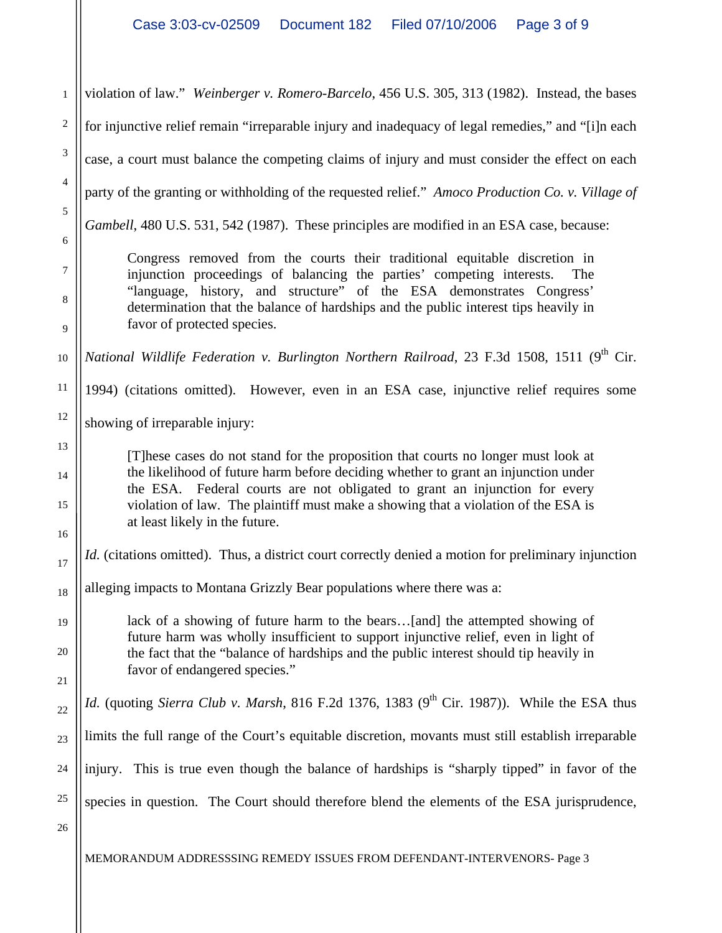1 2 3 4 5 6 7 8 9 10 11 12 13 14 15 16 17 18 19 20 21 22 23 24 25 26 violation of law." *Weinberger v. Romero-Barcelo*, 456 U.S. 305, 313 (1982). Instead, the bases for injunctive relief remain "irreparable injury and inadequacy of legal remedies," and "[i]n each case, a court must balance the competing claims of injury and must consider the effect on each party of the granting or withholding of the requested relief." *Amoco Production Co. v. Village of Gambell*, 480 U.S. 531, 542 (1987). These principles are modified in an ESA case, because: Congress removed from the courts their traditional equitable discretion in injunction proceedings of balancing the parties' competing interests. The "language, history, and structure" of the ESA demonstrates Congress' determination that the balance of hardships and the public interest tips heavily in favor of protected species. *National Wildlife Federation v. Burlington Northern Railroad, 23 F.3d 1508, 1511 (9<sup>th</sup> Cir.)* 1994) (citations omitted). However, even in an ESA case, injunctive relief requires some showing of irreparable injury: [T]hese cases do not stand for the proposition that courts no longer must look at the likelihood of future harm before deciding whether to grant an injunction under the ESA. Federal courts are not obligated to grant an injunction for every violation of law. The plaintiff must make a showing that a violation of the ESA is at least likely in the future. *Id.* (citations omitted). Thus, a district court correctly denied a motion for preliminary injunction alleging impacts to Montana Grizzly Bear populations where there was a: lack of a showing of future harm to the bears…[and] the attempted showing of future harm was wholly insufficient to support injunctive relief, even in light of the fact that the "balance of hardships and the public interest should tip heavily in favor of endangered species." *Id.* (quoting *Sierra Club v. Marsh*, 816 F.2d 1376, 1383 (9<sup>th</sup> Cir. 1987)). While the ESA thus limits the full range of the Court's equitable discretion, movants must still establish irreparable injury. This is true even though the balance of hardships is "sharply tipped" in favor of the species in question. The Court should therefore blend the elements of the ESA jurisprudence,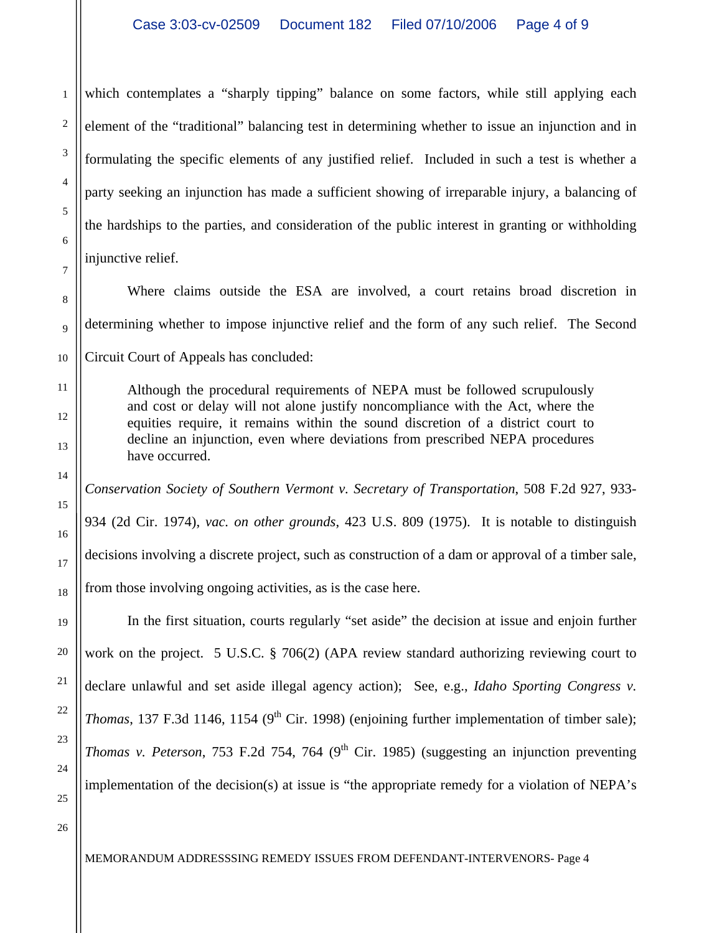which contemplates a "sharply tipping" balance on some factors, while still applying each element of the "traditional" balancing test in determining whether to issue an injunction and in formulating the specific elements of any justified relief. Included in such a test is whether a party seeking an injunction has made a sufficient showing of irreparable injury, a balancing of the hardships to the parties, and consideration of the public interest in granting or withholding injunctive relief.

Where claims outside the ESA are involved, a court retains broad discretion in determining whether to impose injunctive relief and the form of any such relief. The Second Circuit Court of Appeals has concluded:

Although the procedural requirements of NEPA must be followed scrupulously and cost or delay will not alone justify noncompliance with the Act, where the equities require, it remains within the sound discretion of a district court to decline an injunction, even where deviations from prescribed NEPA procedures have occurred.

*Conservation Society of Southern Vermont v. Secretary of Transportation*, 508 F.2d 927, 933- 934 (2d Cir. 1974), *vac. on other grounds*, 423 U.S. 809 (1975). It is notable to distinguish decisions involving a discrete project, such as construction of a dam or approval of a timber sale, from those involving ongoing activities, as is the case here.

In the first situation, courts regularly "set aside" the decision at issue and enjoin further work on the project. 5 U.S.C. § 706(2) (APA review standard authorizing reviewing court to declare unlawful and set aside illegal agency action); See, e.g., *Idaho Sporting Congress v. Thomas*, 137 F.3d 1146, 1154 (9<sup>th</sup> Cir. 1998) (enjoining further implementation of timber sale); *Thomas v. Peterson*, 753 F.2d 754, 764 ( $9<sup>th</sup>$  Cir. 1985) (suggesting an injunction preventing implementation of the decision(s) at issue is "the appropriate remedy for a violation of NEPA's

1

2

3

4

5

6

7

8

9

10

11

12

13

14

15

16

17

18

19

20

21

22

23

24

25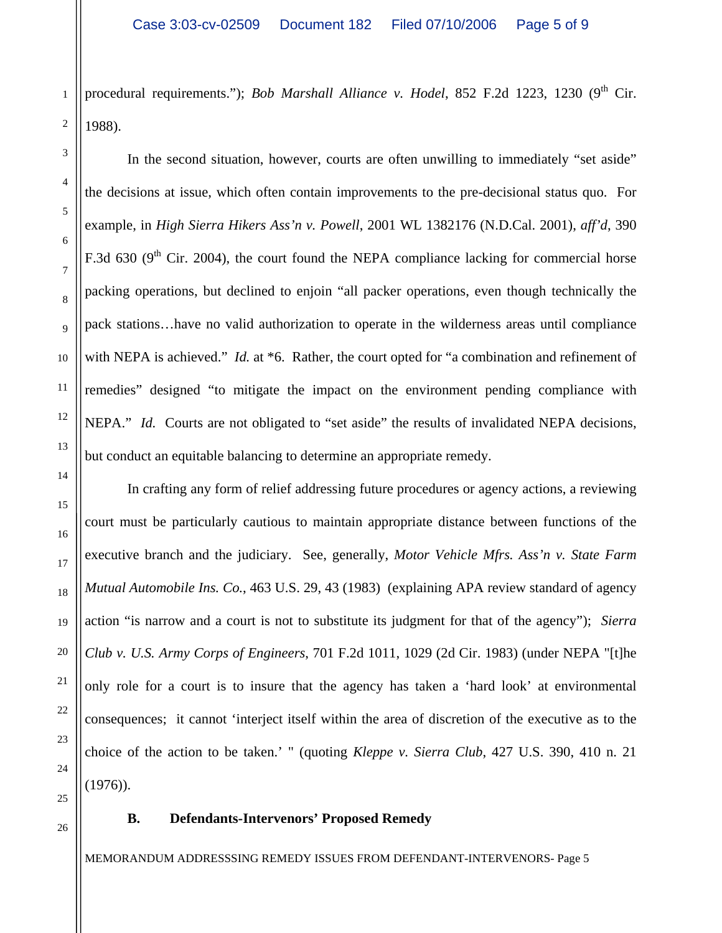procedural requirements."); *Bob Marshall Alliance v. Hodel*, 852 F.2d 1223, 1230 (9<sup>th</sup> Cir. 1988).

In the second situation, however, courts are often unwilling to immediately "set aside" the decisions at issue, which often contain improvements to the pre-decisional status quo. For example, in *High Sierra Hikers Ass'n v. Powell*, 2001 WL 1382176 (N.D.Cal. 2001), *aff'd*, 390 F.3d 630 ( $9<sup>th</sup>$  Cir. 2004), the court found the NEPA compliance lacking for commercial horse packing operations, but declined to enjoin "all packer operations, even though technically the pack stations…have no valid authorization to operate in the wilderness areas until compliance with NEPA is achieved." *Id.* at \*6. Rather, the court opted for "a combination and refinement of remedies" designed "to mitigate the impact on the environment pending compliance with NEPA." *Id.* Courts are not obligated to "set aside" the results of invalidated NEPA decisions, but conduct an equitable balancing to determine an appropriate remedy.

In crafting any form of relief addressing future procedures or agency actions, a reviewing court must be particularly cautious to maintain appropriate distance between functions of the executive branch and the judiciary. See, generally, *Motor Vehicle Mfrs. Ass'n v. State Farm Mutual Automobile Ins. Co.*, 463 U.S. 29, 43 (1983) (explaining APA review standard of agency action "is narrow and a court is not to substitute its judgment for that of the agency"); *Sierra Club v. U.S. Army Corps of Engineers*, 701 F.2d 1011, 1029 (2d Cir. 1983) (under NEPA "[t]he only role for a court is to insure that the agency has taken a 'hard look' at environmental consequences; it cannot 'interject itself within the area of discretion of the executive as to the choice of the action to be taken.' " (quoting *Kleppe v. Sierra Club*, 427 U.S. 390, 410 n. 21  $(1976)$ .

## **B. Defendants-Intervenors' Proposed Remedy**

MEMORANDUM ADDRESSSING REMEDY ISSUES FROM DEFENDANT-INTERVENORS- Page 5

1

2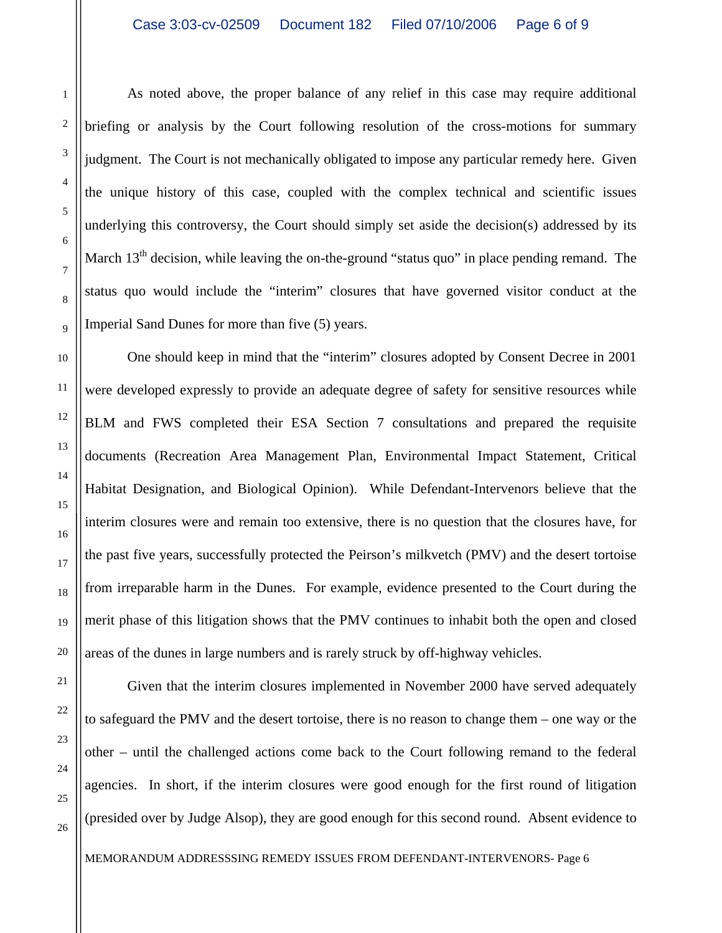As noted above, the proper balance of any relief in this case may require additional briefing or analysis by the Court following resolution of the cross-motions for summary judgment. The Court is not mechanically obligated to impose any particular remedy here. Given the unique history of this case, coupled with the complex technical and scientific issues underlying this controversy, the Court should simply set aside the decision(s) addressed by its March  $13<sup>th</sup>$  decision, while leaving the on-the-ground "status quo" in place pending remand. The status quo would include the "interim" closures that have governed visitor conduct at the Imperial Sand Dunes for more than five (5) years.

One should keep in mind that the "interim" closures adopted by Consent Decree in 2001 were developed expressly to provide an adequate degree of safety for sensitive resources while BLM and FWS completed their ESA Section 7 consultations and prepared the requisite documents (Recreation Area Management Plan, Environmental Impact Statement, Critical Habitat Designation, and Biological Opinion). While Defendant-Intervenors believe that the interim closures were and remain too extensive, there is no question that the closures have, for the past five years, successfully protected the Peirson's milkvetch (PMV) and the desert tortoise from irreparable harm in the Dunes. For example, evidence presented to the Court during the merit phase of this litigation shows that the PMV continues to inhabit both the open and closed areas of the dunes in large numbers and is rarely struck by off-highway vehicles.

1

2

3

4

5

Given that the interim closures implemented in November 2000 have served adequately to safeguard the PMV and the desert tortoise, there is no reason to change them – one way or the other – until the challenged actions come back to the Court following remand to the federal agencies. In short, if the interim closures were good enough for the first round of litigation (presided over by Judge Alsop), they are good enough for this second round. Absent evidence to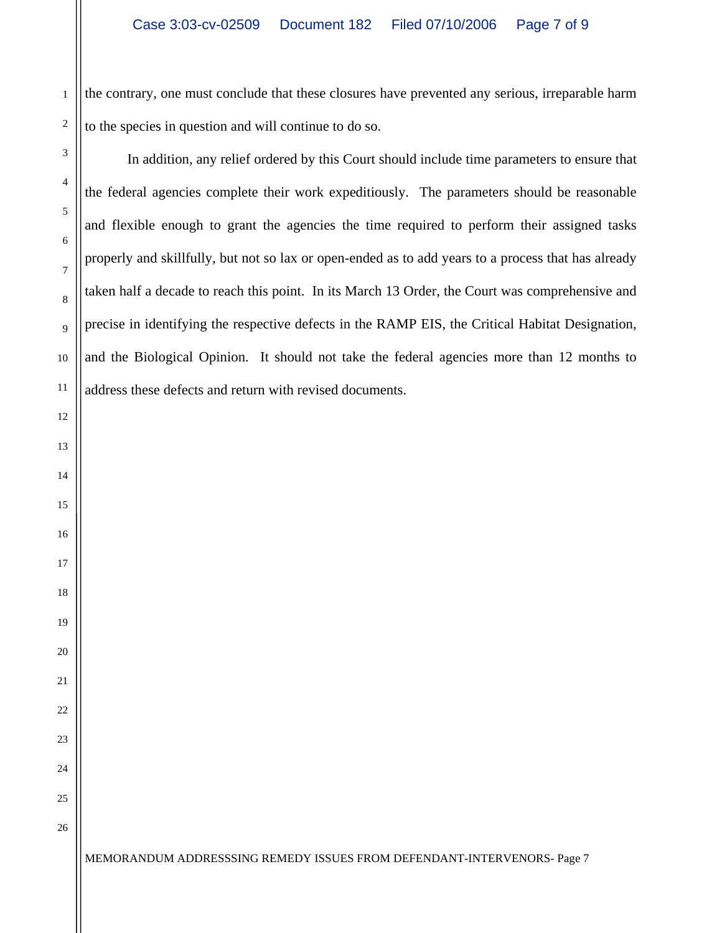the contrary, one must conclude that these closures have prevented any serious, irreparable harm to the species in question and will continue to do so.

In addition, any relief ordered by this Court should include time parameters to ensure that the federal agencies complete their work expeditiously. The parameters should be reasonable and flexible enough to grant the agencies the time required to perform their assigned tasks properly and skillfully, but not so lax or open-ended as to add years to a process that has already taken half a decade to reach this point. In its March 13 Order, the Court was comprehensive and precise in identifying the respective defects in the RAMP EIS, the Critical Habitat Designation, and the Biological Opinion. It should not take the federal agencies more than 12 months to address these defects and return with revised documents.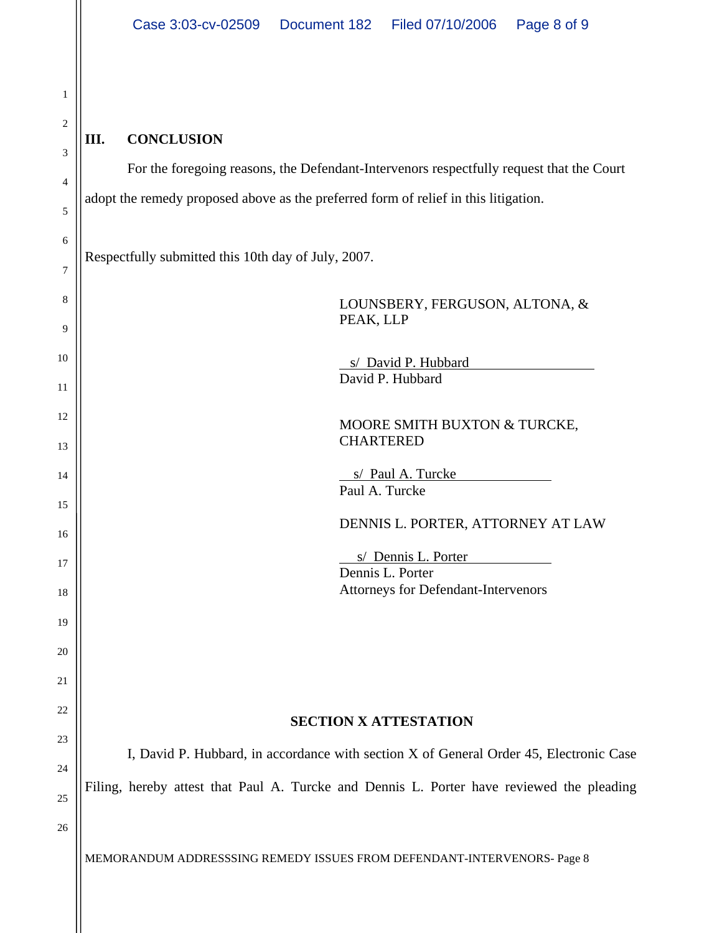| $\mathbf{1}$        |
|---------------------|
| $\overline{2}$      |
| 3                   |
| 4                   |
| 5                   |
| 6                   |
| $\overline{7}$      |
| 8                   |
| 9                   |
| 10                  |
| $\frac{1}{1}$       |
| $\overline{12}$     |
| 13                  |
| 14                  |
| 15                  |
| 16                  |
| $\frac{17}{1}$      |
| 18                  |
| 19                  |
| 20                  |
| $\overline{21}$     |
| $^{22}$             |
| $\overline{2}$<br>₹ |
| 24                  |
| $\overline{2}$<br>5 |

# **III. CONCLUSION**

 For the foregoing reasons, the Defendant-Intervenors respectfully request that the Court adopt the remedy proposed above as the preferred form of relief in this litigation.

Respectfully submitted this 10th day of July, 2007.

| 8       | LOUNSBERY, FERGUSON, ALTONA, &<br>PEAK, LLP                                               |  |  |
|---------|-------------------------------------------------------------------------------------------|--|--|
| 9<br>10 |                                                                                           |  |  |
| 11      | s/ David P. Hubbard<br>David P. Hubbard                                                   |  |  |
| 12      | MOORE SMITH BUXTON & TURCKE,                                                              |  |  |
| 13      | <b>CHARTERED</b>                                                                          |  |  |
| 14      | s/ Paul A. Turcke<br>Paul A. Turcke                                                       |  |  |
| 15      |                                                                                           |  |  |
| 16      | DENNIS L. PORTER, ATTORNEY AT LAW                                                         |  |  |
| 17      | s/ Dennis L. Porter<br>Dennis L. Porter                                                   |  |  |
| 18      | <b>Attorneys for Defendant-Intervenors</b>                                                |  |  |
| 19      |                                                                                           |  |  |
| 20      |                                                                                           |  |  |
| 21      |                                                                                           |  |  |
| 22      | <b>SECTION X ATTESTATION</b>                                                              |  |  |
| 23      |                                                                                           |  |  |
| 24      | I, David P. Hubbard, in accordance with section X of General Order 45, Electronic Case    |  |  |
| 25      | Filing, hereby attest that Paul A. Turcke and Dennis L. Porter have reviewed the pleading |  |  |
| 26      |                                                                                           |  |  |
|         | MEMORANDUM ADDRESSSING REMEDY ISSUES FROM DEFENDANT-INTERVENORS- Page 8                   |  |  |